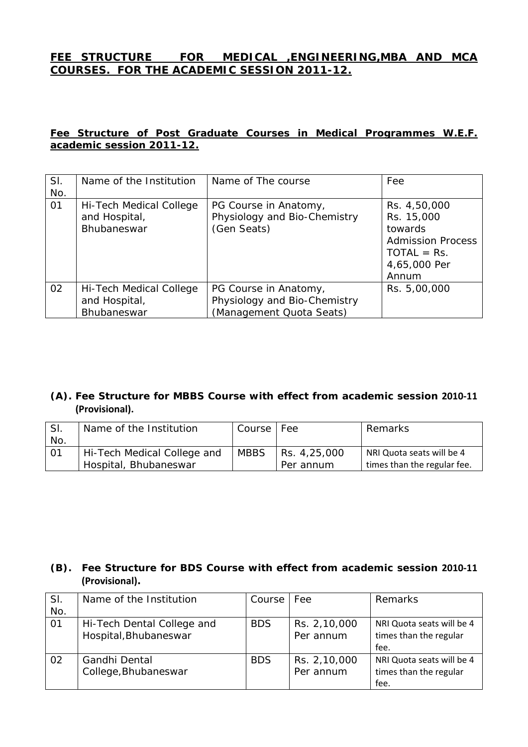### **FEE STRUCTURE FOR MEDICAL ,ENGINEERING,MBA AND MCA COURSES. FOR THE ACADEMIC SESSION 2011-12.**

### **Fee Structure of Post Graduate Courses in Medical Programmes W.E.F. academic session 2011-12.**

| SI.<br>No. | Name of the Institution                                 | Name of The course                                                                | Fee                                                                                                         |
|------------|---------------------------------------------------------|-----------------------------------------------------------------------------------|-------------------------------------------------------------------------------------------------------------|
| 01         | Hi-Tech Medical College<br>and Hospital,<br>Bhubaneswar | PG Course in Anatomy,<br>Physiology and Bio-Chemistry<br>(Gen Seats)              | Rs. 4,50,000<br>Rs. 15,000<br>towards<br><b>Admission Process</b><br>$TOTAL = Rs.$<br>4,65,000 Per<br>Annum |
| 02         | Hi-Tech Medical College<br>and Hospital,<br>Bhubaneswar | PG Course in Anatomy,<br>Physiology and Bio-Chemistry<br>(Management Quota Seats) | Rs. 5,00,000                                                                                                |

### **(A). Fee Structure for MBBS Course with effect from academic session 2010‐11 (Provisional).**

| SI.  | Name of the Institution     | Course      | Fee          | Remarks                     |
|------|-----------------------------|-------------|--------------|-----------------------------|
| No.  |                             |             |              |                             |
| l 01 | Hi-Tech Medical College and | <b>MBBS</b> | Rs. 4,25,000 | NRI Quota seats will be 4   |
|      | Hospital, Bhubaneswar       |             | Per annum    | times than the regular fee. |

### **(B). Fee Structure for BDS Course with effect from academic session 2010‐11 (Provisional).**

| SI.             | Name of the Institution    | Course     | <b>Fee</b>   | Remarks                   |
|-----------------|----------------------------|------------|--------------|---------------------------|
| No.             |                            |            |              |                           |
| $\overline{01}$ | Hi-Tech Dental College and | <b>BDS</b> | Rs. 2,10,000 | NRI Quota seats will be 4 |
|                 | Hospital, Bhubaneswar      |            | Per annum    | times than the regular    |
|                 |                            |            |              | fee.                      |
| 02              | Gandhi Dental              | <b>BDS</b> | Rs. 2,10,000 | NRI Quota seats will be 4 |
|                 | College, Bhubaneswar       |            | Per annum    | times than the regular    |
|                 |                            |            |              | fee.                      |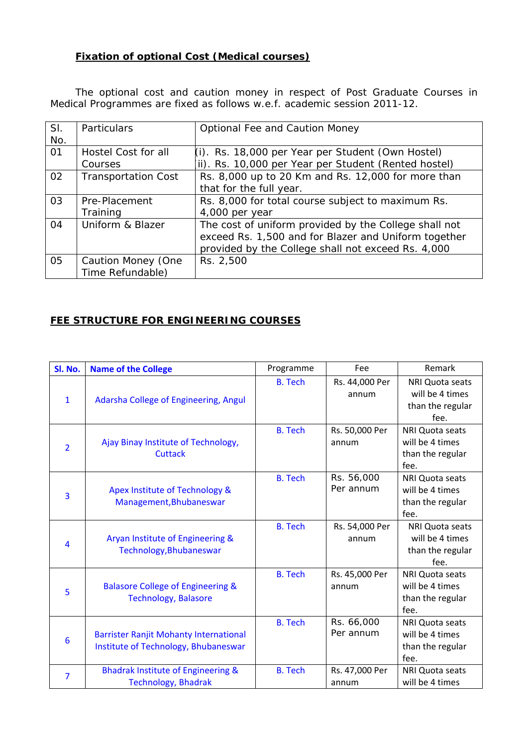### **Fixation of optional Cost (Medical courses)**

The optional cost and caution money in respect of Post Graduate Courses in Medical Programmes are fixed as follows w.e.f. academic session 2011-12.

| SI. | Particulars                | <b>Optional Fee and Caution Money</b>                 |
|-----|----------------------------|-------------------------------------------------------|
| No. |                            |                                                       |
| 01  | Hostel Cost for all        | (i). Rs. 18,000 per Year per Student (Own Hostel)     |
|     | Courses                    | (ii). Rs. 10,000 per Year per Student (Rented hostel) |
| 02  | <b>Transportation Cost</b> | Rs. 8,000 up to 20 Km and Rs. 12,000 for more than    |
|     |                            | that for the full year.                               |
| 03  | Pre-Placement              | Rs. 8,000 for total course subject to maximum Rs.     |
|     | Training                   | 4,000 per year                                        |
| 04  | Uniform & Blazer           | The cost of uniform provided by the College shall not |
|     |                            | exceed Rs. 1,500 and for Blazer and Uniform together  |
|     |                            | provided by the College shall not exceed Rs. 4,000    |
| 05  | Caution Money (One         | Rs. 2,500                                             |
|     | Time Refundable)           |                                                       |

## **FEE STRUCTURE FOR ENGINEERING COURSES**

| Sl. No.        | <b>Name of the College</b>                                                            | Programme      | Fee                     | Remark                                                                |
|----------------|---------------------------------------------------------------------------------------|----------------|-------------------------|-----------------------------------------------------------------------|
| $\mathbf{1}$   | Adarsha College of Engineering, Angul                                                 | <b>B.</b> Tech | Rs. 44,000 Per<br>annum | NRI Quota seats<br>will be 4 times<br>than the regular<br>fee.        |
| $\overline{2}$ | Ajay Binay Institute of Technology,<br><b>Cuttack</b>                                 | <b>B.</b> Tech | Rs. 50,000 Per<br>annum | <b>NRI Quota seats</b><br>will be 4 times<br>than the regular<br>fee. |
| 3              | Apex Institute of Technology &<br>Management, Bhubaneswar                             | <b>B.</b> Tech | Rs. 56,000<br>Per annum | <b>NRI Quota seats</b><br>will be 4 times<br>than the regular<br>fee. |
| 4              | Aryan Institute of Engineering &<br>Technology, Bhubaneswar                           | <b>B.</b> Tech | Rs. 54,000 Per<br>annum | <b>NRI Quota seats</b><br>will be 4 times<br>than the regular<br>fee. |
| 5              | Balasore College of Engineering &<br><b>Technology, Balasore</b>                      | <b>B.</b> Tech | Rs. 45,000 Per<br>annum | <b>NRI Quota seats</b><br>will be 4 times<br>than the regular<br>fee. |
| 6              | <b>Barrister Ranjit Mohanty International</b><br>Institute of Technology, Bhubaneswar | <b>B.</b> Tech | Rs. 66,000<br>Per annum | <b>NRI Quota seats</b><br>will be 4 times<br>than the regular<br>fee. |
| $\overline{7}$ | <b>Bhadrak Institute of Engineering &amp;</b><br><b>Technology, Bhadrak</b>           | <b>B.</b> Tech | Rs. 47,000 Per<br>annum | <b>NRI Quota seats</b><br>will be 4 times                             |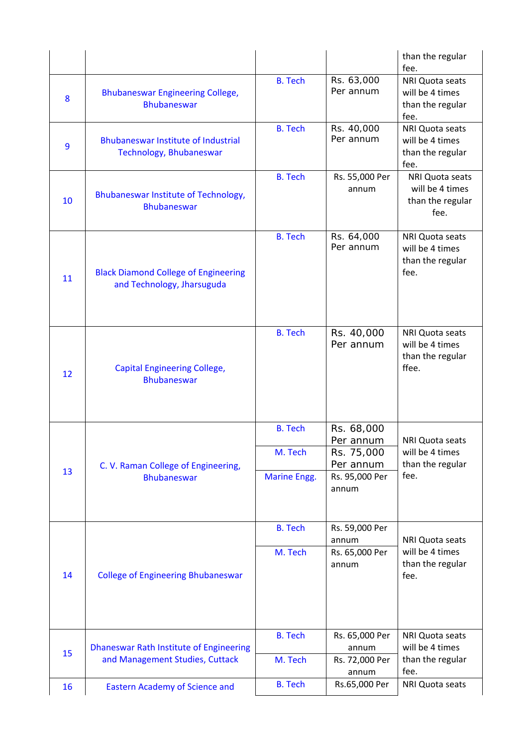|    |                                                                            |                                                  |                                                                               | than the regular<br>fee.                                        |
|----|----------------------------------------------------------------------------|--------------------------------------------------|-------------------------------------------------------------------------------|-----------------------------------------------------------------|
| 8  | <b>Bhubaneswar Engineering College,</b><br><b>Bhubaneswar</b>              | <b>B.</b> Tech                                   | Rs. 63,000<br>Per annum                                                       | NRI Quota seats<br>will be 4 times<br>than the regular<br>fee.  |
| 9  | <b>Bhubaneswar Institute of Industrial</b><br>Technology, Bhubaneswar      | <b>B.</b> Tech                                   | Rs. 40,000<br>Per annum                                                       | NRI Quota seats<br>will be 4 times<br>than the regular<br>fee.  |
| 10 | Bhubaneswar Institute of Technology,<br><b>Bhubaneswar</b>                 | <b>B.</b> Tech                                   | Rs. 55,000 Per<br>annum                                                       | NRI Quota seats<br>will be 4 times<br>than the regular<br>fee.  |
| 11 | <b>Black Diamond College of Engineering</b><br>and Technology, Jharsuguda  | <b>B.</b> Tech                                   | Rs. 64,000<br>Per annum                                                       | NRI Quota seats<br>will be 4 times<br>than the regular<br>fee.  |
| 12 | <b>Capital Engineering College,</b><br><b>Bhubaneswar</b>                  | <b>B.</b> Tech                                   | Rs. 40,000<br>Per annum                                                       | NRI Quota seats<br>will be 4 times<br>than the regular<br>ffee. |
| 13 | C. V. Raman College of Engineering,<br><b>Bhubaneswar</b>                  | <b>B.</b> Tech<br>M. Tech<br><b>Marine Engg.</b> | Rs. 68,000<br>Per annum<br>Rs. 75,000<br>Per annum<br>Rs. 95,000 Per<br>annum | NRI Quota seats<br>will be 4 times<br>than the regular<br>fee.  |
| 14 | <b>College of Engineering Bhubaneswar</b>                                  | <b>B.</b> Tech<br>M. Tech                        | Rs. 59,000 Per<br>annum<br>Rs. 65,000 Per<br>annum                            | NRI Quota seats<br>will be 4 times<br>than the regular<br>fee.  |
| 15 | Dhaneswar Rath Institute of Engineering<br>and Management Studies, Cuttack | <b>B.</b> Tech<br>M. Tech                        | Rs. 65,000 Per<br>annum<br>Rs. 72,000 Per                                     | NRI Quota seats<br>will be 4 times<br>than the regular          |
| 16 | <b>Eastern Academy of Science and</b>                                      | <b>B.</b> Tech                                   | annum<br>Rs.65,000 Per                                                        | fee.<br><b>NRI Quota seats</b>                                  |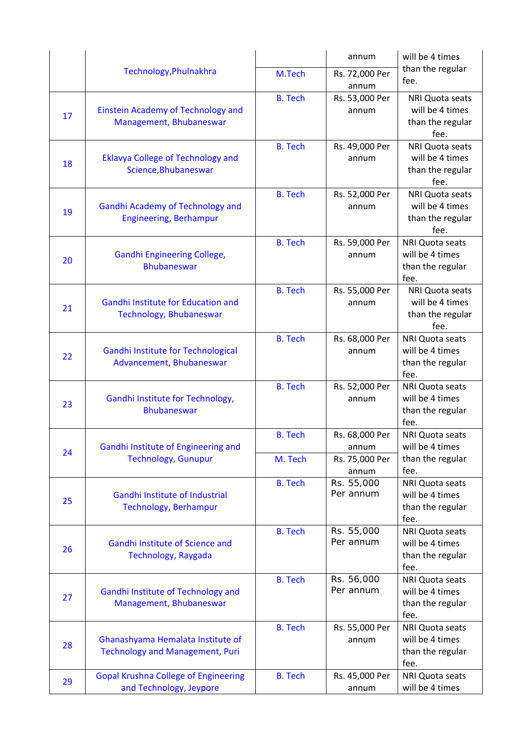|    |                                                         |                | annum                   | will be 4 times                           |
|----|---------------------------------------------------------|----------------|-------------------------|-------------------------------------------|
|    | Technology, Phulnakhra                                  | M.Tech         | Rs. 72,000 Per<br>annum | than the regular<br>fee.                  |
|    |                                                         | <b>B.</b> Tech | Rs. 53,000 Per          | <b>NRI Quota seats</b>                    |
| 17 | Einstein Academy of Technology and                      |                | annum                   | will be 4 times                           |
|    | Management, Bhubaneswar                                 |                |                         | than the regular<br>fee.                  |
|    |                                                         | <b>B.</b> Tech | Rs. 49,000 Per          | NRI Quota seats                           |
| 18 | <b>Eklavya College of Technology and</b>                |                | annum                   | will be 4 times                           |
|    | Science, Bhubaneswar                                    |                |                         | than the regular<br>fee.                  |
|    |                                                         | <b>B.</b> Tech | Rs. 52,000 Per          | NRI Quota seats                           |
| 19 | <b>Gandhi Academy of Technology and</b>                 |                | annum                   | will be 4 times                           |
|    | <b>Engineering, Berhampur</b>                           |                |                         | than the regular                          |
|    |                                                         | <b>B.</b> Tech | Rs. 59,000 Per          | fee.<br>NRI Quota seats                   |
|    | <b>Gandhi Engineering College,</b>                      |                | annum                   | will be 4 times                           |
| 20 | <b>Bhubaneswar</b>                                      |                |                         | than the regular                          |
|    |                                                         |                |                         | fee.                                      |
|    | <b>Gandhi Institute for Education and</b>               | <b>B.</b> Tech | Rs. 55,000 Per          | <b>NRI Quota seats</b><br>will be 4 times |
| 21 | Technology, Bhubaneswar                                 |                | annum                   | than the regular                          |
|    |                                                         |                |                         | fee.                                      |
|    |                                                         | <b>B.</b> Tech | Rs. 68,000 Per          | NRI Quota seats                           |
| 22 | Gandhi Institute for Technological                      |                | annum                   | will be 4 times                           |
|    | Advancement, Bhubaneswar                                |                |                         | than the regular<br>fee.                  |
|    |                                                         | <b>B.</b> Tech | Rs. 52,000 Per          | NRI Quota seats                           |
| 23 | Gandhi Institute for Technology,                        |                | annum                   | will be 4 times                           |
|    | <b>Bhubaneswar</b>                                      |                |                         | than the regular                          |
|    |                                                         |                |                         | fee.                                      |
|    | Gandhi Institute of Engineering and                     | <b>B.</b> Tech | Rs. 68,000 Per<br>annum | NRI Quota seats<br>will be 4 times        |
| 24 | <b>Technology, Gunupur</b>                              | M. Tech        | Rs. 75,000 Per          | than the regular                          |
|    |                                                         |                | annum                   | fee.                                      |
|    |                                                         | <b>B.</b> Tech | Rs. 55,000              | NRI Quota seats                           |
| 25 | Gandhi Institute of Industrial<br>Technology, Berhampur |                | Per annum               | will be 4 times                           |
|    |                                                         |                |                         | than the regular<br>fee.                  |
|    |                                                         | <b>B.</b> Tech | Rs. 55,000              | NRI Quota seats                           |
| 26 | Gandhi Institute of Science and                         |                | Per annum               | will be 4 times                           |
|    | Technology, Raygada                                     |                |                         | than the regular                          |
|    |                                                         | <b>B.</b> Tech | Rs. 56,000              | fee.<br>NRI Quota seats                   |
|    | Gandhi Institute of Technology and                      |                | Per annum               | will be 4 times                           |
| 27 | Management, Bhubaneswar                                 |                |                         | than the regular                          |
|    |                                                         |                |                         | fee.                                      |
|    | Ghanashyama Hemalata Institute of                       | <b>B.</b> Tech | Rs. 55,000 Per<br>annum | NRI Quota seats<br>will be 4 times        |
| 28 | <b>Technology and Management, Puri</b>                  |                |                         | than the regular                          |
|    |                                                         |                |                         | fee.                                      |
| 29 | <b>Gopal Krushna College of Engineering</b>             | <b>B.</b> Tech | Rs. 45,000 Per          | NRI Quota seats                           |
|    | and Technology, Jeypore                                 |                | annum                   | will be 4 times                           |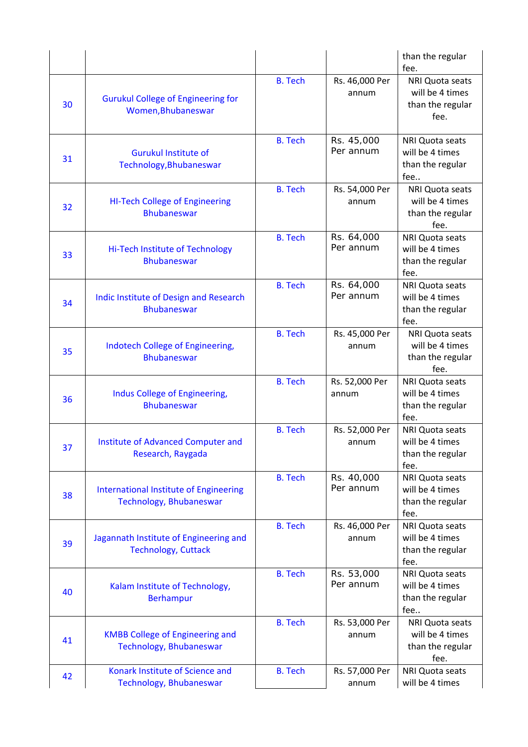|    |                                                                          |                |                         | than the regular<br>fee.                                              |
|----|--------------------------------------------------------------------------|----------------|-------------------------|-----------------------------------------------------------------------|
| 30 | <b>Gurukul College of Engineering for</b><br>Women, Bhubaneswar          | <b>B.</b> Tech | Rs. 46,000 Per<br>annum | NRI Quota seats<br>will be 4 times<br>than the regular<br>fee.        |
| 31 | <b>Gurukul Institute of</b><br>Technology, Bhubaneswar                   | <b>B.</b> Tech | Rs. 45,000<br>Per annum | <b>NRI Quota seats</b><br>will be 4 times<br>than the regular<br>fee  |
| 32 | <b>HI-Tech College of Engineering</b><br><b>Bhubaneswar</b>              | <b>B.</b> Tech | Rs. 54,000 Per<br>annum | NRI Quota seats<br>will be 4 times<br>than the regular<br>fee.        |
| 33 | Hi-Tech Institute of Technology<br><b>Bhubaneswar</b>                    | <b>B.</b> Tech | Rs. 64,000<br>Per annum | <b>NRI Quota seats</b><br>will be 4 times<br>than the regular<br>fee. |
| 34 | Indic Institute of Design and Research<br><b>Bhubaneswar</b>             | <b>B.</b> Tech | Rs. 64,000<br>Per annum | <b>NRI Quota seats</b><br>will be 4 times<br>than the regular<br>fee. |
| 35 | Indotech College of Engineering,<br><b>Bhubaneswar</b>                   | <b>B.</b> Tech | Rs. 45,000 Per<br>annum | NRI Quota seats<br>will be 4 times<br>than the regular<br>fee.        |
| 36 | Indus College of Engineering,<br><b>Bhubaneswar</b>                      | <b>B.</b> Tech | Rs. 52,000 Per<br>annum | NRI Quota seats<br>will be 4 times<br>than the regular<br>fee.        |
| 37 | Institute of Advanced Computer and<br>Research, Raygada                  | <b>B.</b> Tech | Rs. 52,000 Per<br>annum | <b>NRI Quota seats</b><br>will be 4 times<br>than the regular<br>fee. |
| 38 | <b>International Institute of Engineering</b><br>Technology, Bhubaneswar | <b>B.</b> Tech | Rs. 40,000<br>Per annum | <b>NRI Quota seats</b><br>will be 4 times<br>than the regular<br>fee. |
| 39 | Jagannath Institute of Engineering and<br><b>Technology, Cuttack</b>     | <b>B.</b> Tech | Rs. 46,000 Per<br>annum | NRI Quota seats<br>will be 4 times<br>than the regular<br>fee.        |
| 40 | Kalam Institute of Technology,<br><b>Berhampur</b>                       | <b>B.</b> Tech | Rs. 53,000<br>Per annum | NRI Quota seats<br>will be 4 times<br>than the regular<br>fee         |
| 41 | <b>KMBB College of Engineering and</b><br>Technology, Bhubaneswar        | <b>B.</b> Tech | Rs. 53,000 Per<br>annum | <b>NRI Quota seats</b><br>will be 4 times<br>than the regular<br>fee. |
| 42 | Konark Institute of Science and<br>Technology, Bhubaneswar               | <b>B.</b> Tech | Rs. 57,000 Per<br>annum | NRI Quota seats<br>will be 4 times                                    |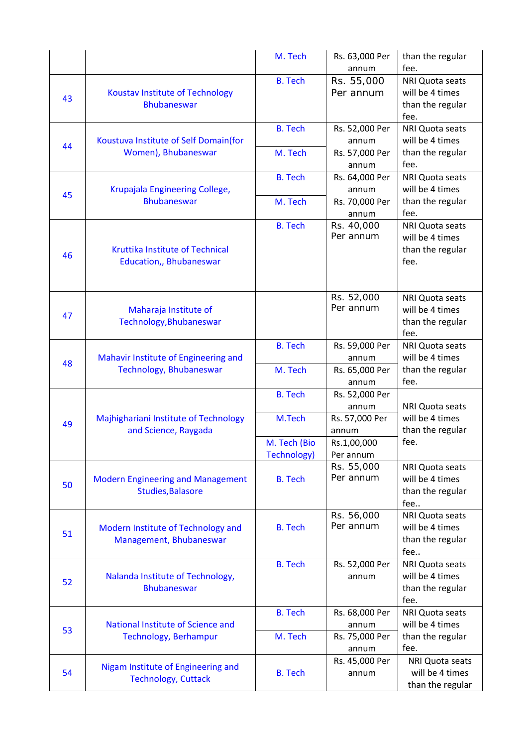| Rs. 63,000 Per                                                                | than the regular       |
|-------------------------------------------------------------------------------|------------------------|
| fee.<br>annum                                                                 |                        |
| <b>B.</b> Tech<br>Rs. 55,000                                                  | NRI Quota seats        |
| Per annum<br><b>Koustav Institute of Technology</b><br>43                     | will be 4 times        |
| <b>Bhubaneswar</b>                                                            | than the regular       |
| fee.                                                                          |                        |
| <b>B.</b> Tech<br>Rs. 52,000 Per                                              | NRI Quota seats        |
| Koustuva Institute of Self Domain(for<br>annum<br>44                          | will be 4 times        |
| Women), Bhubaneswar<br>M. Tech<br>Rs. 57,000 Per                              | than the regular       |
| fee.<br>annum                                                                 |                        |
| <b>B.</b> Tech<br>Rs. 64,000 Per                                              | NRI Quota seats        |
| Krupajala Engineering College,<br>annum                                       | will be 4 times        |
| 45<br><b>Bhubaneswar</b><br>M. Tech<br>Rs. 70,000 Per                         | than the regular       |
| fee.<br>annum                                                                 |                        |
| Rs. 40,000<br><b>B.</b> Tech                                                  | NRI Quota seats        |
| Per annum                                                                     | will be 4 times        |
| Kruttika Institute of Technical                                               | than the regular       |
| 46<br>Education,, Bhubaneswar<br>fee.                                         |                        |
|                                                                               |                        |
|                                                                               |                        |
| Rs. 52,000                                                                    | NRI Quota seats        |
| Per annum<br>Maharaja Institute of                                            | will be 4 times        |
| 47<br>Technology, Bhubaneswar                                                 | than the regular       |
| fee.                                                                          |                        |
| <b>B.</b> Tech<br>Rs. 59,000 Per                                              | NRI Quota seats        |
| Mahavir Institute of Engineering and<br>annum<br>48                           | will be 4 times        |
| Technology, Bhubaneswar<br>M. Tech<br>Rs. 65,000 Per                          | than the regular       |
| fee.<br>annum                                                                 |                        |
| <b>B.</b> Tech<br>Rs. 52,000 Per                                              |                        |
| annum                                                                         | <b>NRI Quota seats</b> |
| Majhighariani Institute of Technology<br>M.Tech<br>Rs. 57,000 Per<br>49       | will be 4 times        |
| and Science, Raygada<br>annum                                                 | than the regular       |
| fee.<br>M. Tech (Bio<br>Rs.1,00,000                                           |                        |
| <b>Technology)</b><br>Per annum                                               |                        |
| Rs. 55,000                                                                    | NRI Quota seats        |
| Per annum<br><b>B.</b> Tech<br><b>Modern Engineering and Management</b><br>50 | will be 4 times        |
| Studies, Balasore                                                             | than the regular       |
| fee                                                                           |                        |
| Rs. 56,000                                                                    | NRI Quota seats        |
| Per annum<br><b>B.</b> Tech<br>Modern Institute of Technology and             | will be 4 times        |
| 51<br>Management, Bhubaneswar                                                 | than the regular       |
| fee                                                                           |                        |
| <b>B.</b> Tech<br>Rs. 52,000 Per                                              | NRI Quota seats        |
| Nalanda Institute of Technology,<br>annum<br>52                               | will be 4 times        |
| <b>Bhubaneswar</b>                                                            | than the regular       |
| fee.                                                                          |                        |
| <b>B.</b> Tech<br>Rs. 68,000 Per                                              | NRI Quota seats        |
| National Institute of Science and<br>annum                                    | will be 4 times        |
| 53<br>Technology, Berhampur<br>M. Tech<br>Rs. 75,000 Per                      | than the regular       |
| fee.<br>annum                                                                 |                        |
| Rs. 45,000 Per                                                                | NRI Quota seats        |
| Nigam Institute of Engineering and<br>54<br><b>B.</b> Tech<br>annum           | will be 4 times        |
| <b>Technology, Cuttack</b>                                                    | than the regular       |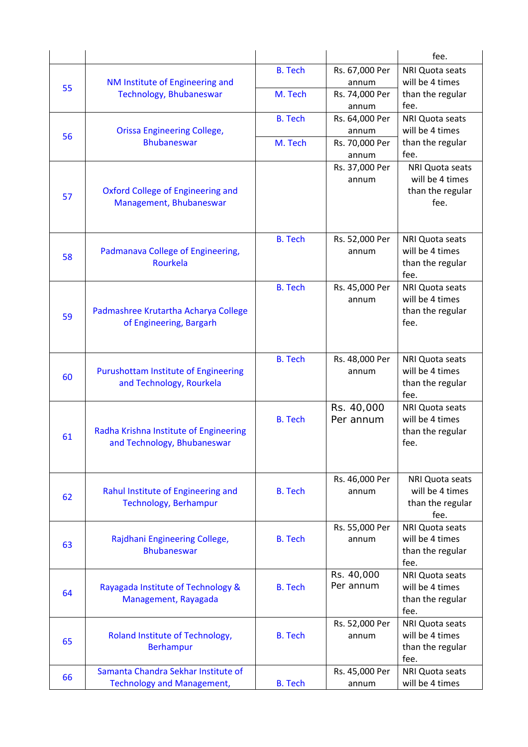|    |                                             |                |                         | fee.                    |
|----|---------------------------------------------|----------------|-------------------------|-------------------------|
|    |                                             | <b>B.</b> Tech | Rs. 67,000 Per          | NRI Quota seats         |
| 55 | NM Institute of Engineering and             |                | annum                   | will be 4 times         |
|    | Technology, Bhubaneswar                     | M. Tech        | Rs. 74,000 Per          | than the regular        |
|    |                                             |                | annum                   | fee.                    |
|    |                                             | <b>B.</b> Tech | Rs. 64,000 Per          | <b>NRI Quota seats</b>  |
|    | <b>Orissa Engineering College,</b>          |                | annum                   | will be 4 times         |
| 56 | <b>Bhubaneswar</b>                          | M. Tech        | Rs. 70,000 Per          | than the regular        |
|    |                                             |                | annum                   | fee.                    |
|    |                                             |                | Rs. 37,000 Per          | NRI Quota seats         |
|    |                                             |                | annum                   | will be 4 times         |
|    | Oxford College of Engineering and           |                |                         | than the regular        |
| 57 | Management, Bhubaneswar                     |                |                         | fee.                    |
|    |                                             |                |                         |                         |
|    |                                             |                |                         |                         |
|    |                                             | <b>B.</b> Tech | Rs. 52,000 Per          | <b>NRI Quota seats</b>  |
| 58 | Padmanava College of Engineering,           |                | annum                   | will be 4 times         |
|    | Rourkela                                    |                |                         | than the regular        |
|    |                                             |                |                         | fee.                    |
|    |                                             | <b>B.</b> Tech | Rs. 45,000 Per          | NRI Quota seats         |
|    |                                             |                | annum                   | will be 4 times         |
| 59 | Padmashree Krutartha Acharya College        |                |                         | than the regular        |
|    | of Engineering, Bargarh                     |                |                         | fee.                    |
|    |                                             |                |                         |                         |
|    |                                             |                |                         |                         |
|    |                                             | <b>B.</b> Tech | Rs. 48,000 Per          | NRI Quota seats         |
| 60 | <b>Purushottam Institute of Engineering</b> |                | annum                   | will be 4 times         |
|    | and Technology, Rourkela                    |                |                         | than the regular        |
|    |                                             |                |                         | fee.<br>NRI Quota seats |
|    |                                             | <b>B.</b> Tech | Rs. 40,000<br>Per annum | will be 4 times         |
|    | Radha Krishna Institute of Engineering      |                |                         | than the regular        |
| 61 | and Technology, Bhubaneswar                 |                |                         | fee.                    |
|    |                                             |                |                         |                         |
|    |                                             |                |                         |                         |
|    |                                             |                | Rs. 46,000 Per          | <b>NRI Quota seats</b>  |
|    | Rahul Institute of Engineering and          | <b>B.</b> Tech | annum                   | will be 4 times         |
| 62 | <b>Technology, Berhampur</b>                |                |                         | than the regular        |
|    |                                             |                |                         | fee.                    |
|    |                                             |                | Rs. 55,000 Per          | <b>NRI Quota seats</b>  |
|    | Rajdhani Engineering College,               | <b>B.</b> Tech | annum                   | will be 4 times         |
| 63 | <b>Bhubaneswar</b>                          |                |                         | than the regular        |
|    |                                             |                |                         | fee.                    |
|    |                                             |                | Rs. 40,000              | NRI Quota seats         |
| 64 | Rayagada Institute of Technology &          | <b>B.</b> Tech | Per annum               | will be 4 times         |
|    | Management, Rayagada                        |                |                         | than the regular        |
|    |                                             |                |                         | fee.                    |
|    |                                             |                | Rs. 52,000 Per          | NRI Quota seats         |
| 65 | Roland Institute of Technology,             | <b>B.</b> Tech | annum                   | will be 4 times         |
|    | Berhampur                                   |                |                         | than the regular        |
|    |                                             |                |                         | fee.                    |
| 66 | Samanta Chandra Sekhar Institute of         |                | Rs. 45,000 Per          | NRI Quota seats         |
|    | <b>Technology and Management,</b>           | <b>B.</b> Tech | annum                   | will be 4 times         |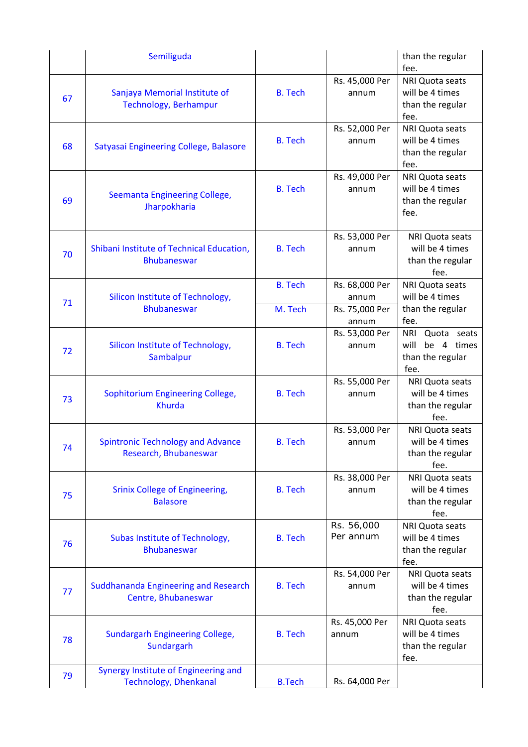|    | Semiliguda                                  |                |                | than the regular       |
|----|---------------------------------------------|----------------|----------------|------------------------|
|    |                                             |                |                | fee.                   |
|    |                                             |                | Rs. 45,000 Per | NRI Quota seats        |
| 67 | Sanjaya Memorial Institute of               | <b>B.</b> Tech | annum          | will be 4 times        |
|    | Technology, Berhampur                       |                |                | than the regular       |
|    |                                             |                |                | fee.                   |
|    |                                             |                | Rs. 52,000 Per | NRI Quota seats        |
| 68 | Satyasai Engineering College, Balasore      | <b>B.</b> Tech | annum          | will be 4 times        |
|    |                                             |                |                | than the regular       |
|    |                                             |                |                | fee.                   |
|    |                                             |                | Rs. 49,000 Per | NRI Quota seats        |
|    | Seemanta Engineering College,               | <b>B.</b> Tech | annum          | will be 4 times        |
| 69 | Jharpokharia                                |                |                | than the regular       |
|    |                                             |                |                | fee.                   |
|    |                                             |                |                |                        |
|    |                                             |                | Rs. 53,000 Per | NRI Quota seats        |
| 70 | Shibani Institute of Technical Education,   | <b>B.</b> Tech | annum          | will be 4 times        |
|    | <b>Bhubaneswar</b>                          |                |                | than the regular       |
|    |                                             |                |                | fee.                   |
|    |                                             | <b>B.</b> Tech | Rs. 68,000 Per | NRI Quota seats        |
|    | Silicon Institute of Technology,            |                | annum          | will be 4 times        |
| 71 | <b>Bhubaneswar</b>                          | M. Tech        | Rs. 75,000 Per | than the regular       |
|    |                                             |                | annum          | fee.                   |
|    |                                             |                | Rs. 53,000 Per | Quota seats<br>NRI     |
|    | Silicon Institute of Technology,            | <b>B.</b> Tech | annum          | will<br>be 4 times     |
| 72 | Sambalpur                                   |                |                | than the regular       |
|    |                                             |                |                | fee.                   |
|    |                                             |                | Rs. 55,000 Per | NRI Quota seats        |
|    | <b>Sophitorium Engineering College,</b>     | <b>B.</b> Tech | annum          | will be 4 times        |
| 73 | <b>Khurda</b>                               |                |                | than the regular       |
|    |                                             |                |                | fee.                   |
|    |                                             |                | Rs. 53,000 Per | NRI Quota seats        |
|    | <b>Spintronic Technology and Advance</b>    | <b>B.</b> Tech | annum          | will be 4 times        |
| 74 | Research, Bhubaneswar                       |                |                | than the regular       |
|    |                                             |                |                | fee.                   |
|    |                                             |                | Rs. 38,000 Per | NRI Quota seats        |
|    | Srinix College of Engineering,              | <b>B.</b> Tech | annum          | will be 4 times        |
| 75 | <b>Balasore</b>                             |                |                | than the regular       |
|    |                                             |                |                | fee.                   |
|    |                                             |                | Rs. 56,000     | NRI Quota seats        |
|    | Subas Institute of Technology,              | <b>B.</b> Tech | Per annum      | will be 4 times        |
| 76 | <b>Bhubaneswar</b>                          |                |                | than the regular       |
|    |                                             |                |                | fee.                   |
|    |                                             |                | Rs. 54,000 Per | NRI Quota seats        |
|    | <b>Suddhananda Engineering and Research</b> | <b>B.</b> Tech | annum          | will be 4 times        |
| 77 | Centre, Bhubaneswar                         |                |                | than the regular       |
|    |                                             |                |                | fee.                   |
|    |                                             |                | Rs. 45,000 Per | <b>NRI Quota seats</b> |
|    | <b>Sundargarh Engineering College,</b>      | <b>B.</b> Tech | annum          | will be 4 times        |
| 78 | Sundargarh                                  |                |                | than the regular       |
|    |                                             |                |                | fee.                   |
|    | Synergy Institute of Engineering and        |                |                |                        |
| 79 | <b>Technology, Dhenkanal</b>                | <b>B.Tech</b>  | Rs. 64,000 Per |                        |
|    |                                             |                |                |                        |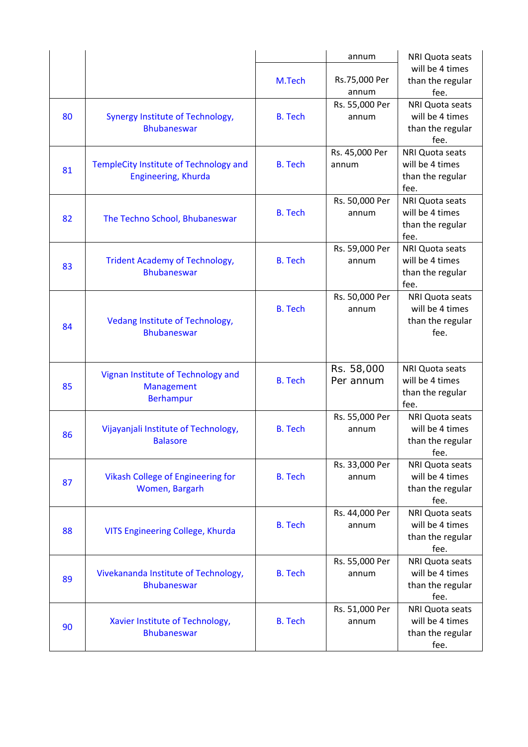|    |                                          |                | annum          | <b>NRI Quota seats</b> |
|----|------------------------------------------|----------------|----------------|------------------------|
|    |                                          |                |                | will be 4 times        |
|    |                                          | M.Tech         | Rs.75,000 Per  | than the regular       |
|    |                                          |                | annum          | fee.                   |
|    |                                          |                | Rs. 55,000 Per | NRI Quota seats        |
| 80 | Synergy Institute of Technology,         | <b>B.</b> Tech | annum          | will be 4 times        |
|    | <b>Bhubaneswar</b>                       |                |                | than the regular       |
|    |                                          |                |                | fee.                   |
|    |                                          |                | Rs. 45,000 Per | <b>NRI Quota seats</b> |
| 81 | TempleCity Institute of Technology and   | <b>B.</b> Tech | annum          | will be 4 times        |
|    | Engineering, Khurda                      |                |                | than the regular       |
|    |                                          |                |                | fee.                   |
|    |                                          |                | Rs. 50,000 Per | NRI Quota seats        |
| 82 | The Techno School, Bhubaneswar           | <b>B.</b> Tech | annum          | will be 4 times        |
|    |                                          |                |                | than the regular       |
|    |                                          |                |                | fee.                   |
|    |                                          |                | Rs. 59,000 Per | NRI Quota seats        |
| 83 | <b>Trident Academy of Technology,</b>    | <b>B.</b> Tech | annum          | will be 4 times        |
|    | <b>Bhubaneswar</b>                       |                |                | than the regular       |
|    |                                          |                |                | fee.                   |
|    |                                          |                | Rs. 50,000 Per | NRI Quota seats        |
|    |                                          | <b>B.</b> Tech | annum          | will be 4 times        |
| 84 | <b>Vedang Institute of Technology,</b>   |                |                | than the regular       |
|    | <b>Bhubaneswar</b>                       |                |                | fee.                   |
|    |                                          |                |                |                        |
|    |                                          |                | Rs. 58,000     | NRI Quota seats        |
|    | Vignan Institute of Technology and       | <b>B.</b> Tech | Per annum      | will be 4 times        |
| 85 | Management                               |                |                | than the regular       |
|    | <b>Berhampur</b>                         |                |                | fee.                   |
|    |                                          |                | Rs. 55,000 Per | NRI Quota seats        |
|    | Vijayanjali Institute of Technology,     | <b>B.</b> Tech | annum          | will be 4 times        |
| 86 | <b>Balasore</b>                          |                |                | than the regular       |
|    |                                          |                |                | fee.                   |
|    |                                          |                | Rs. 33,000 Per | NRI Quota seats        |
|    | <b>Vikash College of Engineering for</b> | <b>B.</b> Tech | annum          | will be 4 times        |
| 87 | Women, Bargarh                           |                |                | than the regular       |
|    |                                          |                |                | fee.                   |
|    |                                          |                | Rs. 44,000 Per | NRI Quota seats        |
| 88 |                                          | <b>B.</b> Tech | annum          | will be 4 times        |
|    | VITS Engineering College, Khurda         |                |                | than the regular       |
|    |                                          |                |                | fee.                   |
|    |                                          |                | Rs. 55,000 Per | <b>NRI Quota seats</b> |
| 89 | Vivekananda Institute of Technology,     | <b>B.</b> Tech | annum          | will be 4 times        |
|    | <b>Bhubaneswar</b>                       |                |                | than the regular       |
|    |                                          |                |                | fee.                   |
|    |                                          |                | Rs. 51,000 Per | NRI Quota seats        |
| 90 | Xavier Institute of Technology,          | <b>B.</b> Tech | annum          | will be 4 times        |
|    | <b>Bhubaneswar</b>                       |                |                | than the regular       |
|    |                                          |                |                | fee.                   |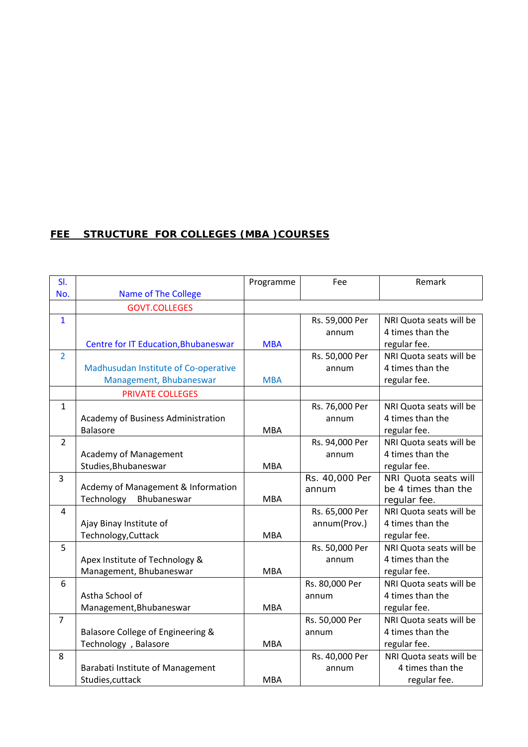# **FEE STRUCTURE FOR COLLEGES (MBA )COURSES**

| SI.            |                                             | Programme  | Fee            | Remark                  |
|----------------|---------------------------------------------|------------|----------------|-------------------------|
| No.            | <b>Name of The College</b>                  |            |                |                         |
|                | <b>GOVT.COLLEGES</b>                        |            |                |                         |
| $\mathbf{1}$   |                                             |            | Rs. 59,000 Per | NRI Quota seats will be |
|                |                                             |            | annum          | 4 times than the        |
|                | <b>Centre for IT Education, Bhubaneswar</b> | <b>MBA</b> |                | regular fee.            |
| $\overline{2}$ |                                             |            | Rs. 50,000 Per | NRI Quota seats will be |
|                | Madhusudan Institute of Co-operative        |            | annum          | 4 times than the        |
|                | Management, Bhubaneswar                     | <b>MBA</b> |                | regular fee.            |
|                | <b>PRIVATE COLLEGES</b>                     |            |                |                         |
| $\mathbf{1}$   |                                             |            | Rs. 76,000 Per | NRI Quota seats will be |
|                | Academy of Business Administration          |            | annum          | 4 times than the        |
|                | <b>Balasore</b>                             | <b>MBA</b> |                | regular fee.            |
| $\overline{2}$ |                                             |            | Rs. 94,000 Per | NRI Quota seats will be |
|                | <b>Academy of Management</b>                |            | annum          | 4 times than the        |
|                | Studies, Bhubaneswar                        | <b>MBA</b> |                | regular fee.            |
| $\overline{3}$ |                                             |            | Rs. 40,000 Per | NRI Quota seats will    |
|                | Acdemy of Management & Information          |            | annum          | be 4 times than the     |
|                | Technology<br>Bhubaneswar                   | <b>MBA</b> |                | regular fee.            |
| 4              |                                             |            | Rs. 65,000 Per | NRI Quota seats will be |
|                | Ajay Binay Institute of                     |            | annum(Prov.)   | 4 times than the        |
|                | Technology, Cuttack                         | <b>MBA</b> |                | regular fee.            |
| 5              |                                             |            | Rs. 50,000 Per | NRI Quota seats will be |
|                | Apex Institute of Technology &              |            | annum          | 4 times than the        |
|                | Management, Bhubaneswar                     | <b>MBA</b> |                | regular fee.            |
| 6              |                                             |            | Rs. 80,000 Per | NRI Quota seats will be |
|                | Astha School of                             |            | annum          | 4 times than the        |
|                | Management, Bhubaneswar                     | <b>MBA</b> |                | regular fee.            |
| $\overline{7}$ |                                             |            | Rs. 50,000 Per | NRI Quota seats will be |
|                | Balasore College of Engineering &           |            | annum          | 4 times than the        |
|                | Technology , Balasore                       | <b>MBA</b> |                | regular fee.            |
| 8              |                                             |            | Rs. 40,000 Per | NRI Quota seats will be |
|                | Barabati Institute of Management            |            | annum          | 4 times than the        |
|                | Studies, cuttack                            | <b>MBA</b> |                | regular fee.            |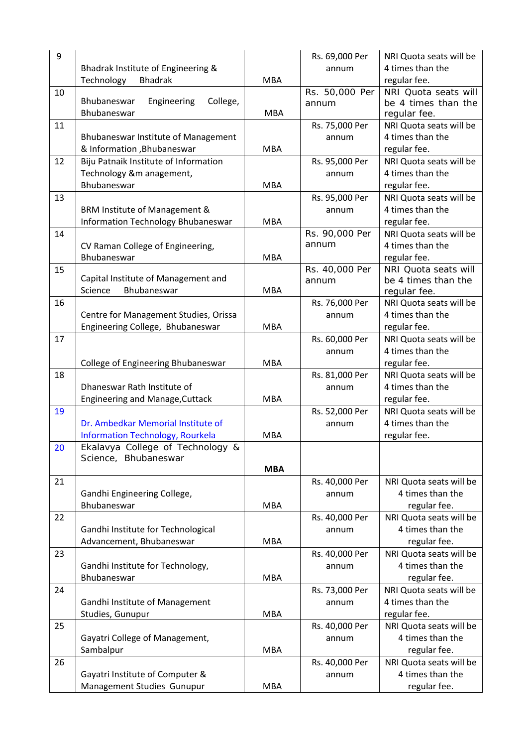| 9  |                                                                             |            | Rs. 69,000 Per | NRI Quota seats will be |
|----|-----------------------------------------------------------------------------|------------|----------------|-------------------------|
|    | Bhadrak Institute of Engineering &                                          |            | annum          | 4 times than the        |
|    | Technology<br><b>Bhadrak</b>                                                | <b>MBA</b> |                | regular fee.            |
| 10 |                                                                             |            | Rs. 50,000 Per | NRI Quota seats will    |
|    | Bhubaneswar<br>Engineering<br>College,                                      |            | annum          | be 4 times than the     |
|    | Bhubaneswar                                                                 | <b>MBA</b> |                | regular fee.            |
| 11 |                                                                             |            | Rs. 75,000 Per | NRI Quota seats will be |
|    | Bhubaneswar Institute of Management                                         |            | annum          | 4 times than the        |
|    | & Information , Bhubaneswar                                                 | <b>MBA</b> |                | regular fee.            |
| 12 | Biju Patnaik Institute of Information                                       |            | Rs. 95,000 Per | NRI Quota seats will be |
|    | Technology &m anagement,                                                    |            | annum          | 4 times than the        |
|    | Bhubaneswar                                                                 | <b>MBA</b> |                | regular fee.            |
| 13 |                                                                             |            | Rs. 95,000 Per | NRI Quota seats will be |
|    | BRM Institute of Management &                                               |            | annum          | 4 times than the        |
|    | Information Technology Bhubaneswar                                          | <b>MBA</b> |                | regular fee.            |
| 14 |                                                                             |            | Rs. 90,000 Per | NRI Quota seats will be |
|    | CV Raman College of Engineering,                                            |            | annum          | 4 times than the        |
|    | Bhubaneswar                                                                 | <b>MBA</b> |                | regular fee.            |
| 15 |                                                                             |            | Rs. 40,000 Per | NRI Quota seats will    |
|    | Capital Institute of Management and                                         |            | annum          | be 4 times than the     |
|    | Bhubaneswar<br>Science                                                      | <b>MBA</b> |                | regular fee.            |
| 16 |                                                                             |            | Rs. 76,000 Per | NRI Quota seats will be |
|    | Centre for Management Studies, Orissa                                       |            | annum          | 4 times than the        |
|    | Engineering College, Bhubaneswar                                            | <b>MBA</b> |                | regular fee.            |
| 17 |                                                                             |            | Rs. 60,000 Per | NRI Quota seats will be |
|    |                                                                             |            | annum          | 4 times than the        |
|    | College of Engineering Bhubaneswar                                          | <b>MBA</b> |                | regular fee.            |
| 18 |                                                                             |            | Rs. 81,000 Per | NRI Quota seats will be |
|    | Dhaneswar Rath Institute of                                                 |            | annum          | 4 times than the        |
|    | <b>Engineering and Manage, Cuttack</b>                                      | <b>MBA</b> |                | regular fee.            |
| 19 |                                                                             |            | Rs. 52,000 Per | NRI Quota seats will be |
|    | Dr. Ambedkar Memorial Institute of                                          |            |                | 4 times than the        |
|    |                                                                             |            | annum          |                         |
|    | <b>Information Technology, Rourkela</b><br>Ekalavya College of Technology & | <b>MBA</b> |                | regular fee.            |
| 20 | Science, Bhubaneswar                                                        |            |                |                         |
|    |                                                                             | <b>MBA</b> |                |                         |
| 21 |                                                                             |            | Rs. 40,000 Per | NRI Quota seats will be |
|    | Gandhi Engineering College,                                                 |            | annum          | 4 times than the        |
|    | Bhubaneswar                                                                 | <b>MBA</b> |                | regular fee.            |
| 22 |                                                                             |            |                | NRI Quota seats will be |
|    |                                                                             |            | Rs. 40,000 Per | 4 times than the        |
|    | Gandhi Institute for Technological<br>Advancement, Bhubaneswar              | <b>MBA</b> | annum          |                         |
|    |                                                                             |            |                | regular fee.            |
| 23 |                                                                             |            | Rs. 40,000 Per | NRI Quota seats will be |
|    | Gandhi Institute for Technology,                                            |            | annum          | 4 times than the        |
|    | Bhubaneswar                                                                 | <b>MBA</b> |                | regular fee.            |
| 24 |                                                                             |            | Rs. 73,000 Per | NRI Quota seats will be |
|    | Gandhi Institute of Management                                              |            | annum          | 4 times than the        |
|    | Studies, Gunupur                                                            | <b>MBA</b> |                | regular fee.            |
| 25 |                                                                             |            | Rs. 40,000 Per | NRI Quota seats will be |
|    | Gayatri College of Management,                                              |            | annum          | 4 times than the        |
|    | Sambalpur                                                                   | <b>MBA</b> |                | regular fee.            |
| 26 |                                                                             |            | Rs. 40,000 Per | NRI Quota seats will be |
|    | Gayatri Institute of Computer &                                             |            | annum          | 4 times than the        |
|    | Management Studies Gunupur                                                  | <b>MBA</b> |                | regular fee.            |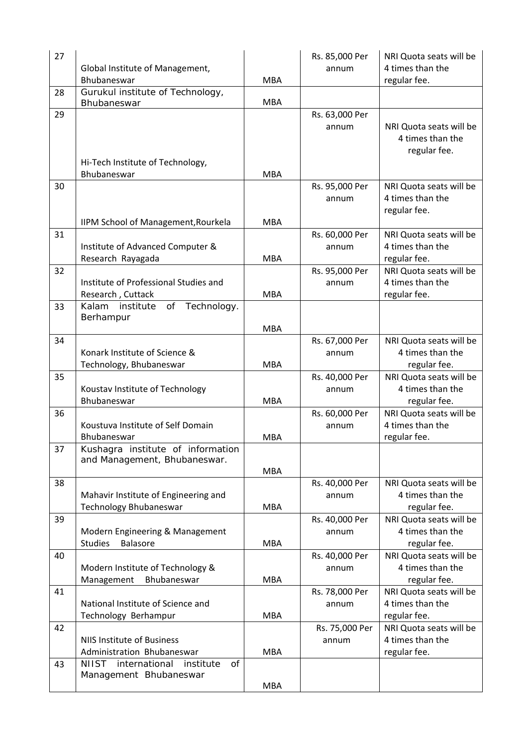| 27 | Global Institute of Management,                                       |            | Rs. 85,000 Per<br>annum | NRI Quota seats will be<br>4 times than the                 |
|----|-----------------------------------------------------------------------|------------|-------------------------|-------------------------------------------------------------|
|    | Bhubaneswar                                                           | <b>MBA</b> |                         | regular fee.                                                |
| 28 | Gurukul institute of Technology,<br>Bhubaneswar                       | <b>MBA</b> |                         |                                                             |
| 29 | Hi-Tech Institute of Technology,<br>Bhubaneswar                       | <b>MBA</b> | Rs. 63,000 Per<br>annum | NRI Quota seats will be<br>4 times than the<br>regular fee. |
| 30 |                                                                       |            | Rs. 95,000 Per<br>annum | NRI Quota seats will be<br>4 times than the<br>regular fee. |
|    | IIPM School of Management, Rourkela                                   | <b>MBA</b> |                         |                                                             |
| 31 | Institute of Advanced Computer &<br>Research Rayagada                 | <b>MBA</b> | Rs. 60,000 Per<br>annum | NRI Quota seats will be<br>4 times than the<br>regular fee. |
| 32 | Institute of Professional Studies and<br>Research, Cuttack            | <b>MBA</b> | Rs. 95,000 Per<br>annum | NRI Quota seats will be<br>4 times than the<br>regular fee. |
| 33 | Kalam<br>of Technology.<br>institute<br>Berhampur                     | <b>MBA</b> |                         |                                                             |
| 34 | Konark Institute of Science &<br>Technology, Bhubaneswar              | <b>MBA</b> | Rs. 67,000 Per<br>annum | NRI Quota seats will be<br>4 times than the<br>regular fee. |
| 35 | Koustav Institute of Technology<br>Bhubaneswar                        | <b>MBA</b> | Rs. 40,000 Per<br>annum | NRI Quota seats will be<br>4 times than the<br>regular fee. |
| 36 | Koustuva Institute of Self Domain<br>Bhubaneswar                      | <b>MBA</b> | Rs. 60,000 Per<br>annum | NRI Quota seats will be<br>4 times than the<br>regular fee. |
| 37 | Kushagra institute of information<br>and Management, Bhubaneswar.     | <b>MBA</b> |                         |                                                             |
| 38 | Mahavir Institute of Engineering and<br><b>Technology Bhubaneswar</b> | <b>MBA</b> | Rs. 40,000 Per<br>annum | NRI Quota seats will be<br>4 times than the<br>regular fee. |
| 39 | Modern Engineering & Management<br><b>Studies</b><br><b>Balasore</b>  | <b>MBA</b> | Rs. 40,000 Per<br>annum | NRI Quota seats will be<br>4 times than the<br>regular fee. |
| 40 | Modern Institute of Technology &<br>Management<br>Bhubaneswar         | <b>MBA</b> | Rs. 40,000 Per<br>annum | NRI Quota seats will be<br>4 times than the<br>regular fee. |
| 41 | National Institute of Science and<br>Technology Berhampur             | <b>MBA</b> | Rs. 78,000 Per<br>annum | NRI Quota seats will be<br>4 times than the<br>regular fee. |
| 42 | <b>NIIS Institute of Business</b><br>Administration Bhubaneswar       | <b>MBA</b> | Rs. 75,000 Per<br>annum | NRI Quota seats will be<br>4 times than the<br>regular fee. |
| 43 | international<br>NIIST<br>institute<br>of<br>Management Bhubaneswar   | <b>MBA</b> |                         |                                                             |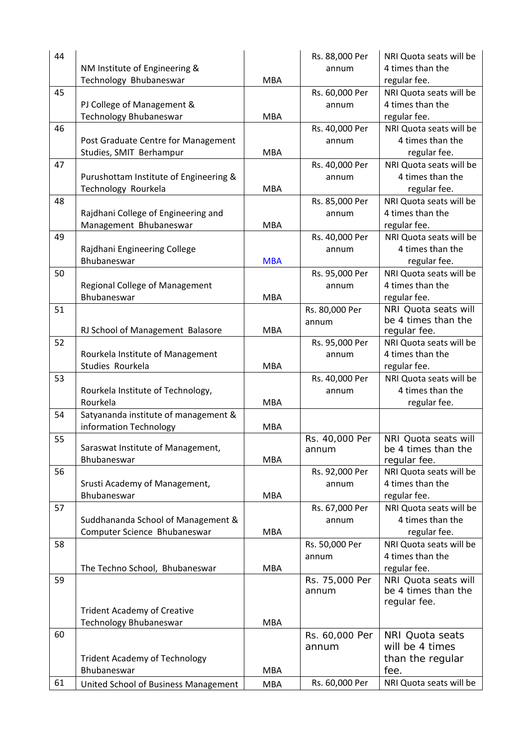| 44 |                                                      |            | Rs. 88,000 Per | NRI Quota seats will be                 |
|----|------------------------------------------------------|------------|----------------|-----------------------------------------|
|    | NM Institute of Engineering &                        |            | annum          | 4 times than the                        |
|    | Technology Bhubaneswar                               | <b>MBA</b> |                | regular fee.                            |
| 45 |                                                      |            | Rs. 60,000 Per | NRI Quota seats will be                 |
|    | PJ College of Management &                           |            | annum          | 4 times than the                        |
|    | Technology Bhubaneswar                               | <b>MBA</b> |                | regular fee.                            |
| 46 |                                                      |            | Rs. 40,000 Per | NRI Quota seats will be                 |
|    | Post Graduate Centre for Management                  |            | annum          | 4 times than the                        |
|    | Studies, SMIT Berhampur                              | <b>MBA</b> |                | regular fee.                            |
| 47 |                                                      |            | Rs. 40,000 Per | NRI Quota seats will be                 |
|    | Purushottam Institute of Engineering &               |            | annum          | 4 times than the                        |
|    | Technology Rourkela                                  | <b>MBA</b> |                | regular fee.                            |
| 48 |                                                      |            | Rs. 85,000 Per | NRI Quota seats will be                 |
|    | Rajdhani College of Engineering and                  |            | annum          | 4 times than the                        |
|    | Management Bhubaneswar                               | <b>MBA</b> |                | regular fee.                            |
| 49 |                                                      |            | Rs. 40,000 Per | NRI Quota seats will be                 |
|    | Rajdhani Engineering College                         |            | annum          | 4 times than the                        |
|    | Bhubaneswar                                          | <b>MBA</b> |                | regular fee.                            |
| 50 |                                                      |            | Rs. 95,000 Per | NRI Quota seats will be                 |
|    | Regional College of Management                       |            | annum          | 4 times than the                        |
|    | Bhubaneswar                                          | <b>MBA</b> |                | regular fee.                            |
| 51 |                                                      |            | Rs. 80,000 Per | NRI Quota seats will                    |
|    |                                                      |            | annum          | be 4 times than the                     |
| 52 | RJ School of Management Balasore                     | <b>MBA</b> |                | regular fee.<br>NRI Quota seats will be |
|    |                                                      |            | Rs. 95,000 Per | 4 times than the                        |
|    | Rourkela Institute of Management<br>Studies Rourkela | <b>MBA</b> | annum          |                                         |
| 53 |                                                      |            |                | regular fee.<br>NRI Quota seats will be |
|    |                                                      |            | Rs. 40,000 Per | 4 times than the                        |
|    | Rourkela Institute of Technology,<br>Rourkela        | <b>MBA</b> | annum          | regular fee.                            |
| 54 | Satyananda institute of management &                 |            |                |                                         |
|    | information Technology                               | <b>MBA</b> |                |                                         |
| 55 |                                                      |            | Rs. 40,000 Per | NRI Quota seats will                    |
|    | Saraswat Institute of Management,                    |            | annum          | be 4 times than the                     |
|    | Bhubaneswar                                          | <b>MBA</b> |                | regular fee.                            |
| 56 |                                                      |            | Rs. 92,000 Per | NRI Quota seats will be                 |
|    | Srusti Academy of Management,                        |            | annum          | 4 times than the                        |
|    | Bhubaneswar                                          | <b>MBA</b> |                | regular fee.                            |
| 57 |                                                      |            | Rs. 67,000 Per | NRI Quota seats will be                 |
|    | Suddhananda School of Management &                   |            | annum          | 4 times than the                        |
|    | Computer Science Bhubaneswar                         | <b>MBA</b> |                | regular fee.                            |
| 58 |                                                      |            | Rs. 50,000 Per | NRI Quota seats will be                 |
|    |                                                      |            | annum          | 4 times than the                        |
|    | The Techno School, Bhubaneswar                       | <b>MBA</b> |                | regular fee.                            |
| 59 |                                                      |            | Rs. 75,000 Per | NRI Quota seats will                    |
|    |                                                      |            | annum          | be 4 times than the                     |
|    | <b>Trident Academy of Creative</b>                   |            |                | regular fee.                            |
|    | Technology Bhubaneswar                               | <b>MBA</b> |                |                                         |
| 60 |                                                      |            | Rs. 60,000 Per | <b>NRI Quota seats</b>                  |
|    |                                                      |            | annum          | will be 4 times                         |
|    | <b>Trident Academy of Technology</b>                 |            |                | than the regular                        |
|    | Bhubaneswar                                          | <b>MBA</b> |                | fee.                                    |
| 61 | United School of Business Management                 | <b>MBA</b> | Rs. 60,000 Per | NRI Quota seats will be                 |
|    |                                                      |            |                |                                         |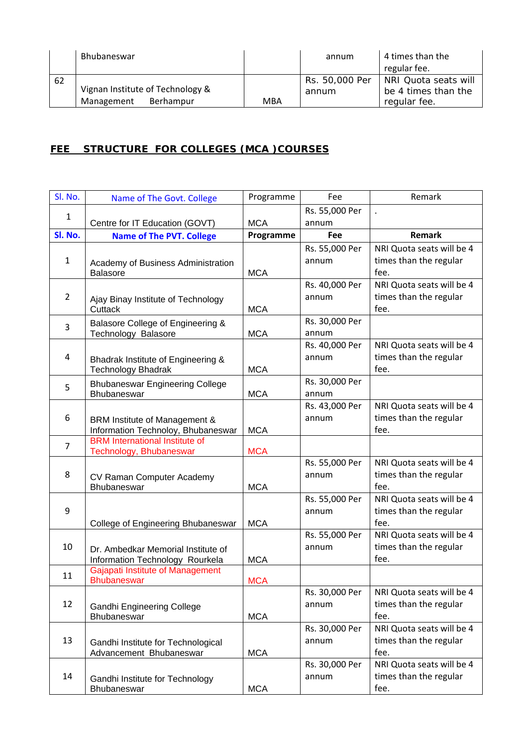|    | Bhubaneswar                      |     | annum          | 4 times than the     |
|----|----------------------------------|-----|----------------|----------------------|
|    |                                  |     |                | regular fee.         |
| 62 |                                  |     | Rs. 50,000 Per | NRI Quota seats will |
|    | Vignan Institute of Technology & |     | annum          | be 4 times than the  |
|    | Management<br>Berhampur          | MBA |                | regular fee.         |

# **FEE STRUCTURE FOR COLLEGES (MCA )COURSES**

| Sl. No.        | Name of The Govt. College                                           | Programme  | Fee            | Remark                    |
|----------------|---------------------------------------------------------------------|------------|----------------|---------------------------|
| $\mathbf{1}$   |                                                                     |            | Rs. 55,000 Per |                           |
|                | Centre for IT Education (GOVT)                                      | <b>MCA</b> | annum          |                           |
| SI. No.        | <b>Name of The PVT. College</b>                                     | Programme  | Fee            | <b>Remark</b>             |
|                |                                                                     |            | Rs. 55,000 Per | NRI Quota seats will be 4 |
| $\mathbf{1}$   | Academy of Business Administration                                  |            | annum          | times than the regular    |
|                | <b>Balasore</b>                                                     | <b>MCA</b> |                | fee.                      |
|                |                                                                     |            | Rs. 40,000 Per | NRI Quota seats will be 4 |
| $\overline{2}$ | Ajay Binay Institute of Technology                                  |            | annum          | times than the regular    |
|                | Cuttack                                                             | <b>MCA</b> |                | fee.                      |
| 3              | Balasore College of Engineering &                                   |            | Rs. 30,000 Per |                           |
|                | Technology Balasore                                                 | <b>MCA</b> | annum          |                           |
|                |                                                                     |            | Rs. 40,000 Per | NRI Quota seats will be 4 |
| 4              | Bhadrak Institute of Engineering &                                  |            | annum          | times than the regular    |
|                | <b>Technology Bhadrak</b>                                           | <b>MCA</b> |                | fee.                      |
| 5              | <b>Bhubaneswar Engineering College</b>                              |            | Rs. 30,000 Per |                           |
|                | Bhubaneswar                                                         | <b>MCA</b> | annum          |                           |
|                |                                                                     |            | Rs. 43,000 Per | NRI Quota seats will be 4 |
| 6              | BRM Institute of Management &                                       |            | annum          | times than the regular    |
|                | Information Technoloy, Bhubaneswar                                  | <b>MCA</b> |                | fee.                      |
| $\overline{7}$ | <b>BRM</b> International Institute of                               |            |                |                           |
|                | Technology, Bhubaneswar                                             | <b>MCA</b> |                |                           |
|                |                                                                     |            | Rs. 55,000 Per | NRI Quota seats will be 4 |
| 8              | CV Raman Computer Academy                                           |            | annum          | times than the regular    |
|                | Bhubaneswar                                                         | <b>MCA</b> |                | fee.                      |
|                |                                                                     |            | Rs. 55,000 Per | NRI Quota seats will be 4 |
| 9              |                                                                     |            | annum          | times than the regular    |
|                | College of Engineering Bhubaneswar                                  | <b>MCA</b> |                | fee.                      |
|                |                                                                     |            | Rs. 55,000 Per | NRI Quota seats will be 4 |
| 10             | Dr. Ambedkar Memorial Institute of                                  |            | annum          | times than the regular    |
|                | Information Technology Rourkela<br>Gajapati Institute of Management | <b>MCA</b> |                | fee.                      |
| 11             | <b>Bhubaneswar</b>                                                  | <b>MCA</b> |                |                           |
|                |                                                                     |            | Rs. 30,000 Per | NRI Quota seats will be 4 |
| 12             | <b>Gandhi Engineering College</b>                                   |            | annum          | times than the regular    |
|                | Bhubaneswar                                                         | <b>MCA</b> |                | fee.                      |
|                |                                                                     |            | Rs. 30,000 Per | NRI Quota seats will be 4 |
| 13             | Gandhi Institute for Technological                                  |            | annum          | times than the regular    |
|                | Advancement Bhubaneswar                                             | <b>MCA</b> |                | fee.                      |
|                |                                                                     |            | Rs. 30,000 Per | NRI Quota seats will be 4 |
| 14             | Gandhi Institute for Technology                                     |            | annum          | times than the regular    |
|                | Bhubaneswar                                                         | <b>MCA</b> |                | fee.                      |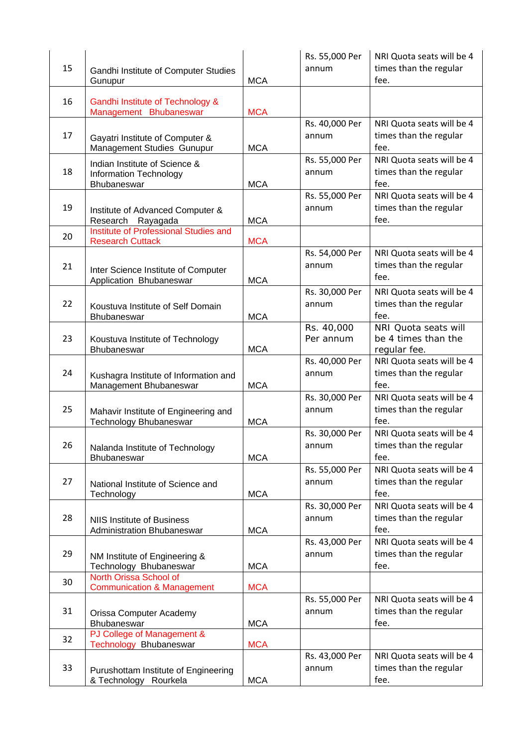| 15 | Gandhi Institute of Computer Studies<br>Gunupur                        | <b>MCA</b> | Rs. 55,000 Per<br>annum | NRI Quota seats will be 4<br>times than the regular<br>fee. |
|----|------------------------------------------------------------------------|------------|-------------------------|-------------------------------------------------------------|
| 16 | Gandhi Institute of Technology &<br>Management Bhubaneswar             | <b>MCA</b> |                         |                                                             |
| 17 | Gayatri Institute of Computer &<br>Management Studies Gunupur          | <b>MCA</b> | Rs. 40,000 Per<br>annum | NRI Quota seats will be 4<br>times than the regular<br>fee. |
| 18 | Indian Institute of Science &<br>Information Technology<br>Bhubaneswar | <b>MCA</b> | Rs. 55,000 Per<br>annum | NRI Quota seats will be 4<br>times than the regular<br>fee. |
| 19 | Institute of Advanced Computer &<br>Research<br>Rayagada               | <b>MCA</b> | Rs. 55,000 Per<br>annum | NRI Quota seats will be 4<br>times than the regular<br>fee. |
| 20 | Institute of Professional Studies and<br><b>Research Cuttack</b>       | <b>MCA</b> |                         |                                                             |
| 21 | Inter Science Institute of Computer<br>Application Bhubaneswar         | <b>MCA</b> | Rs. 54,000 Per<br>annum | NRI Quota seats will be 4<br>times than the regular<br>fee. |
| 22 | Koustuva Institute of Self Domain<br><b>Bhubaneswar</b>                | <b>MCA</b> | Rs. 30,000 Per<br>annum | NRI Quota seats will be 4<br>times than the regular<br>fee. |
| 23 | Koustuva Institute of Technology<br><b>Bhubaneswar</b>                 | <b>MCA</b> | Rs. 40,000<br>Per annum | NRI Quota seats will<br>be 4 times than the<br>regular fee. |
| 24 | Kushagra Institute of Information and<br>Management Bhubaneswar        | <b>MCA</b> | Rs. 40,000 Per<br>annum | NRI Quota seats will be 4<br>times than the regular<br>fee. |
| 25 | Mahavir Institute of Engineering and<br><b>Technology Bhubaneswar</b>  | <b>MCA</b> | Rs. 30,000 Per<br>annum | NRI Quota seats will be 4<br>times than the regular<br>fee. |
| 26 | Nalanda Institute of Technology<br>Bhubaneswar                         | <b>MCA</b> | Rs. 30,000 Per<br>annum | NRI Quota seats will be 4<br>times than the regular<br>fee. |
| 27 | National Institute of Science and<br>Technology                        | <b>MCA</b> | Rs. 55,000 Per<br>annum | NRI Quota seats will be 4<br>times than the regular<br>fee. |
| 28 | <b>NIIS Institute of Business</b><br>Administration Bhubaneswar        | <b>MCA</b> | Rs. 30,000 Per<br>annum | NRI Quota seats will be 4<br>times than the regular<br>fee. |
| 29 | NM Institute of Engineering &<br>Technology Bhubaneswar                | <b>MCA</b> | Rs. 43,000 Per<br>annum | NRI Quota seats will be 4<br>times than the regular<br>fee. |
| 30 | North Orissa School of<br><b>Communication &amp; Management</b>        | <b>MCA</b> |                         |                                                             |
| 31 | Orissa Computer Academy<br>Bhubaneswar                                 | <b>MCA</b> | Rs. 55,000 Per<br>annum | NRI Quota seats will be 4<br>times than the regular<br>fee. |
| 32 | PJ College of Management &<br>Technology Bhubaneswar                   | <b>MCA</b> |                         |                                                             |
| 33 | Purushottam Institute of Engineering<br>& Technology Rourkela          | <b>MCA</b> | Rs. 43,000 Per<br>annum | NRI Quota seats will be 4<br>times than the regular<br>fee. |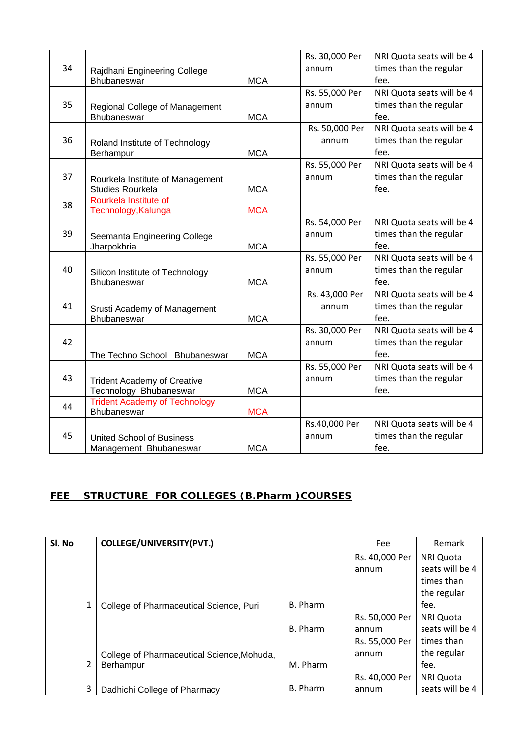| 34 | Rajdhani Engineering College<br>Bhubaneswar                  | <b>MCA</b> | Rs. 30,000 Per<br>annum | NRI Quota seats will be 4<br>times than the regular<br>fee. |
|----|--------------------------------------------------------------|------------|-------------------------|-------------------------------------------------------------|
| 35 | Regional College of Management<br>Bhubaneswar                | <b>MCA</b> | Rs. 55,000 Per<br>annum | NRI Quota seats will be 4<br>times than the regular<br>fee. |
| 36 | Roland Institute of Technology<br>Berhampur                  | <b>MCA</b> | Rs. 50,000 Per<br>annum | NRI Quota seats will be 4<br>times than the regular<br>fee. |
| 37 | Rourkela Institute of Management<br><b>Studies Rourkela</b>  | <b>MCA</b> | Rs. 55,000 Per<br>annum | NRI Quota seats will be 4<br>times than the regular<br>fee. |
| 38 | Rourkela Institute of<br>Technology, Kalunga                 | <b>MCA</b> |                         |                                                             |
| 39 | Seemanta Engineering College<br>Jharpokhria                  | <b>MCA</b> | Rs. 54,000 Per<br>annum | NRI Quota seats will be 4<br>times than the regular<br>fee. |
| 40 | Silicon Institute of Technology<br>Bhubaneswar               | <b>MCA</b> | Rs. 55,000 Per<br>annum | NRI Quota seats will be 4<br>times than the regular<br>fee. |
| 41 | Srusti Academy of Management<br>Bhubaneswar                  | <b>MCA</b> | Rs. 43,000 Per<br>annum | NRI Quota seats will be 4<br>times than the regular<br>fee. |
| 42 | The Techno School Bhubaneswar                                | <b>MCA</b> | Rs. 30,000 Per<br>annum | NRI Quota seats will be 4<br>times than the regular<br>fee. |
| 43 | <b>Trident Academy of Creative</b><br>Technology Bhubaneswar | <b>MCA</b> | Rs. 55,000 Per<br>annum | NRI Quota seats will be 4<br>times than the regular<br>fee. |
| 44 | <b>Trident Academy of Technology</b><br><b>Bhubaneswar</b>   | <b>MCA</b> |                         |                                                             |
| 45 | <b>United School of Business</b><br>Management Bhubaneswar   | <b>MCA</b> | Rs.40,000 Per<br>annum  | NRI Quota seats will be 4<br>times than the regular<br>fee. |

# **FEE STRUCTURE FOR COLLEGES (B.Pharm )COURSES**

| SI. No | <b>COLLEGE/UNIVERSITY(PVT.)</b>            |          | Fee            | Remark          |
|--------|--------------------------------------------|----------|----------------|-----------------|
|        |                                            |          | Rs. 40,000 Per | NRI Quota       |
|        |                                            |          | annum          | seats will be 4 |
|        |                                            |          |                | times than      |
|        |                                            |          |                | the regular     |
|        | College of Pharmaceutical Science, Puri    | B. Pharm |                | fee.            |
|        |                                            |          | Rs. 50,000 Per | NRI Quota       |
|        |                                            | B. Pharm | annum          | seats will be 4 |
|        |                                            |          | Rs. 55,000 Per | times than      |
|        | College of Pharmaceutical Science, Mohuda, |          | annum          | the regular     |
| 2      | <b>Berhampur</b>                           | M. Pharm |                | fee.            |
|        |                                            |          | Rs. 40,000 Per | NRI Quota       |
| 3      | Dadhichi College of Pharmacy               | B. Pharm | annum          | seats will be 4 |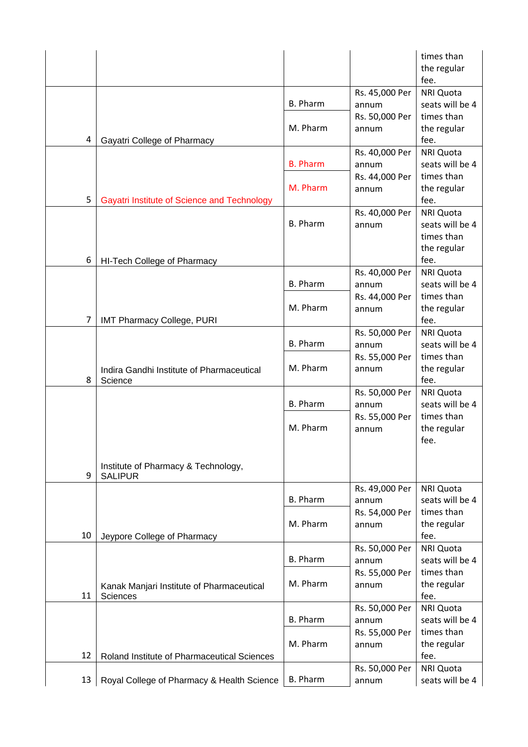|    |                                                       |                 |                         | times than<br>the regular     |
|----|-------------------------------------------------------|-----------------|-------------------------|-------------------------------|
|    |                                                       |                 | Rs. 45,000 Per          | fee.<br><b>NRI Quota</b>      |
|    |                                                       | <b>B.</b> Pharm | annum                   | seats will be 4               |
|    |                                                       |                 | Rs. 50,000 Per          | times than                    |
|    |                                                       | M. Pharm        | annum                   | the regular                   |
| 4  | Gayatri College of Pharmacy                           |                 |                         | fee.                          |
|    |                                                       |                 | Rs. 40,000 Per          | <b>NRI Quota</b>              |
|    |                                                       | <b>B. Pharm</b> | annum                   | seats will be 4<br>times than |
|    |                                                       | M. Pharm        | Rs. 44,000 Per<br>annum | the regular                   |
| 5  | Gayatri Institute of Science and Technology           |                 |                         | fee.                          |
|    |                                                       |                 | Rs. 40,000 Per          | <b>NRI Quota</b>              |
|    |                                                       | <b>B. Pharm</b> | annum                   | seats will be 4               |
|    |                                                       |                 |                         | times than                    |
|    |                                                       |                 |                         | the regular                   |
| 6  | HI-Tech College of Pharmacy                           |                 |                         | fee.<br><b>NRI Quota</b>      |
|    |                                                       | <b>B.</b> Pharm | Rs. 40,000 Per<br>annum | seats will be 4               |
|    |                                                       |                 | Rs. 44,000 Per          | times than                    |
|    |                                                       | M. Pharm        | annum                   | the regular                   |
| 7  | <b>IMT Pharmacy College, PURI</b>                     |                 |                         | fee.                          |
|    |                                                       |                 | Rs. 50,000 Per          | <b>NRI Quota</b>              |
|    |                                                       | <b>B. Pharm</b> | annum                   | seats will be 4               |
|    |                                                       |                 | Rs. 55,000 Per          | times than                    |
| 8  | Indira Gandhi Institute of Pharmaceutical<br>Science  | M. Pharm        | annum                   | the regular<br>fee.           |
|    |                                                       |                 | Rs. 50,000 Per          | <b>NRI Quota</b>              |
|    |                                                       | <b>B. Pharm</b> | annum                   | seats will be 4               |
|    |                                                       |                 | Rs. 55,000 Per          | times than                    |
|    |                                                       | M. Pharm        | annum                   | the regular                   |
|    |                                                       |                 |                         | fee.                          |
|    |                                                       |                 |                         |                               |
| 9  | Institute of Pharmacy & Technology,<br><b>SALIPUR</b> |                 |                         |                               |
|    |                                                       |                 | Rs. 49,000 Per          | <b>NRI Quota</b>              |
|    |                                                       | <b>B.</b> Pharm | annum                   | seats will be 4               |
|    |                                                       |                 | Rs. 54,000 Per          | times than                    |
| 10 |                                                       | M. Pharm        | annum                   | the regular<br>fee.           |
|    | Jeypore College of Pharmacy                           |                 | Rs. 50,000 Per          | <b>NRI Quota</b>              |
|    |                                                       | B. Pharm        | annum                   | seats will be 4               |
|    |                                                       |                 | Rs. 55,000 Per          | times than                    |
|    | Kanak Manjari Institute of Pharmaceutical             | M. Pharm        | annum                   | the regular                   |
| 11 | Sciences                                              |                 |                         | fee.                          |
|    |                                                       |                 | Rs. 50,000 Per          | <b>NRI Quota</b>              |
|    |                                                       | B. Pharm        | annum                   | seats will be 4               |
|    |                                                       | M. Pharm        | Rs. 55,000 Per          | times than                    |
| 12 | Roland Institute of Pharmaceutical Sciences           |                 | annum                   | the regular<br>fee.           |
|    |                                                       |                 | Rs. 50,000 Per          | <b>NRI Quota</b>              |
| 13 | Royal College of Pharmacy & Health Science            | <b>B.</b> Pharm | annum                   | seats will be 4               |
|    |                                                       |                 |                         |                               |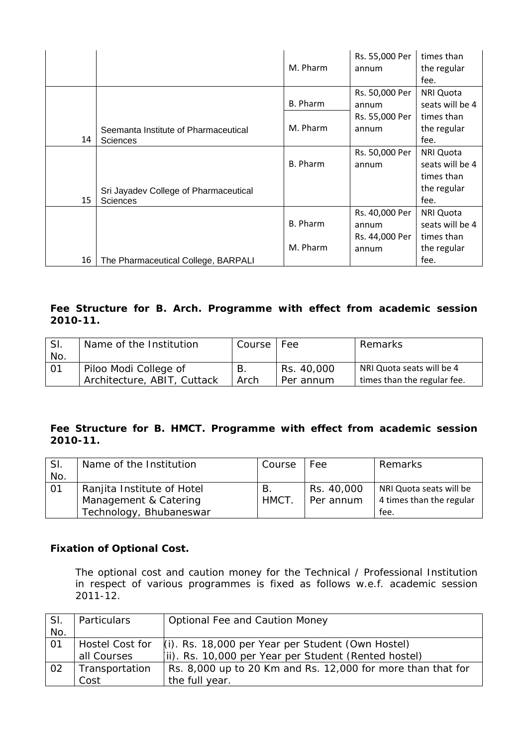|    |                                       |                 | Rs. 55,000 Per | times than       |
|----|---------------------------------------|-----------------|----------------|------------------|
|    |                                       | M. Pharm        | annum          | the regular      |
|    |                                       |                 |                | fee.             |
|    |                                       |                 | Rs. 50,000 Per | <b>NRI Quota</b> |
|    |                                       | <b>B.</b> Pharm | annum          | seats will be 4  |
|    |                                       |                 | Rs. 55,000 Per | times than       |
|    | Seemanta Institute of Pharmaceutical  | M. Pharm        | annum          | the regular      |
| 14 | <b>Sciences</b>                       |                 |                | fee.             |
|    |                                       |                 | Rs. 50,000 Per | NRI Quota        |
|    |                                       | B. Pharm        | annum          | seats will be 4  |
|    |                                       |                 |                | times than       |
|    | Sri Jayadev College of Pharmaceutical |                 |                | the regular      |
| 15 | <b>Sciences</b>                       |                 |                | fee.             |
|    |                                       |                 | Rs. 40,000 Per | NRI Quota        |
|    |                                       | <b>B.</b> Pharm | annum          | seats will be 4  |
|    |                                       |                 | Rs. 44,000 Per | times than       |
|    |                                       | M. Pharm        | annum          | the regular      |
| 16 | The Pharmaceutical College, BARPALI   |                 |                | fee.             |

### **Fee Structure for B. Arch. Programme with effect from academic session 2010-11.**

| SI. | Name of the Institution     | Course | Fee        | Remarks                     |
|-----|-----------------------------|--------|------------|-----------------------------|
| No. |                             |        |            |                             |
| -01 | Piloo Modi College of       |        | Rs. 40,000 | NRI Quota seats will be 4   |
|     | Architecture, ABIT, Cuttack | Arch   | Per annum  | times than the regular fee. |

### **Fee Structure for B. HMCT. Programme with effect from academic session 2010-11.**

| SI.             | Name of the Institution    | Course | Fee        | Remarks                  |
|-----------------|----------------------------|--------|------------|--------------------------|
| No.             |                            |        |            |                          |
| $\overline{01}$ | Ranjita Institute of Hotel | В.     | Rs. 40,000 | NRI Quota seats will be  |
|                 | Management & Catering      |        | Per annum  | 4 times than the regular |
|                 | Technology, Bhubaneswar    |        |            | tee.                     |

#### **Fixation of Optional Cost.**

The optional cost and caution money for the Technical / Professional Institution in respect of various programmes is fixed as follows w.e.f. academic session 2011-12.

| SI. | Particulars            | <b>Optional Fee and Caution Money</b>                       |  |  |
|-----|------------------------|-------------------------------------------------------------|--|--|
| No. |                        |                                                             |  |  |
| 01  | <b>Hostel Cost for</b> | $(i)$ . Rs. 18,000 per Year per Student (Own Hostel)        |  |  |
|     | all Courses            | (ii). Rs. 10,000 per Year per Student (Rented hostel)       |  |  |
| 02  | Transportation         | Rs. 8,000 up to 20 Km and Rs. 12,000 for more than that for |  |  |
|     | Cost                   | the full year.                                              |  |  |